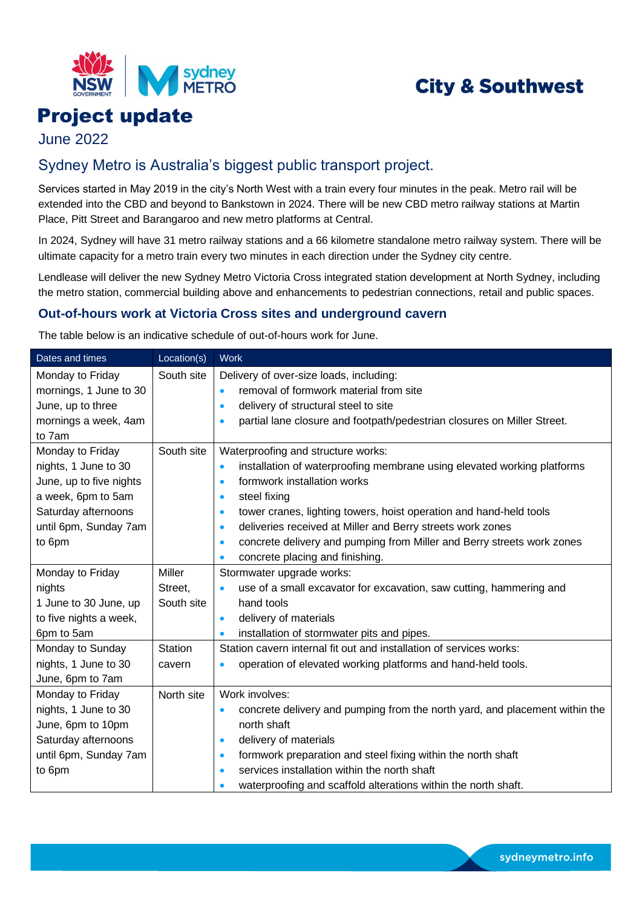

# **City & Southwest**

# Project update

June 2022

## Sydney Metro is Australia's biggest public transport project.

Services started in May 2019 in the city's North West with a train every four minutes in the peak. Metro rail will be extended into the CBD and beyond to Bankstown in 2024. There will be new CBD metro railway stations at Martin Place, Pitt Street and Barangaroo and new metro platforms at Central.

In 2024, Sydney will have 31 metro railway stations and a 66 kilometre standalone metro railway system. There will be ultimate capacity for a metro train every two minutes in each direction under the Sydney city centre.

Lendlease will deliver the new Sydney Metro Victoria Cross integrated station development at North Sydney, including the metro station, commercial building above and enhancements to pedestrian connections, retail and public spaces.

### **Out-of-hours work at Victoria Cross sites and underground cavern**

The table below is an indicative schedule of out-of-hours work for June.

| Dates and times         | Location(s)    | <b>Work</b>                                                                              |
|-------------------------|----------------|------------------------------------------------------------------------------------------|
| Monday to Friday        | South site     | Delivery of over-size loads, including:                                                  |
| mornings, 1 June to 30  |                | removal of formwork material from site<br>$\bullet$                                      |
| June, up to three       |                | delivery of structural steel to site<br>$\bullet$                                        |
| mornings a week, 4am    |                | partial lane closure and footpath/pedestrian closures on Miller Street.<br>$\bullet$     |
| to 7am                  |                |                                                                                          |
| Monday to Friday        | South site     | Waterproofing and structure works:                                                       |
| nights, 1 June to 30    |                | installation of waterproofing membrane using elevated working platforms<br>$\bullet$     |
| June, up to five nights |                | formwork installation works<br>$\bullet$                                                 |
| a week, 6pm to 5am      |                | steel fixing<br>$\bullet$                                                                |
| Saturday afternoons     |                | tower cranes, lighting towers, hoist operation and hand-held tools<br>$\bullet$          |
| until 6pm, Sunday 7am   |                | deliveries received at Miller and Berry streets work zones<br>$\bullet$                  |
| to 6pm                  |                | concrete delivery and pumping from Miller and Berry streets work zones<br>$\bullet$      |
|                         |                | concrete placing and finishing.<br>$\bullet$                                             |
| Monday to Friday        | <b>Miller</b>  | Stormwater upgrade works:                                                                |
| nights                  | Street,        | use of a small excavator for excavation, saw cutting, hammering and<br>$\bullet$         |
| 1 June to 30 June, up   | South site     | hand tools                                                                               |
| to five nights a week,  |                | delivery of materials<br>$\bullet$                                                       |
| 6pm to 5am              |                | installation of stormwater pits and pipes.<br>$\bullet$                                  |
| Monday to Sunday        | <b>Station</b> | Station cavern internal fit out and installation of services works:                      |
| nights, 1 June to 30    | cavern         | operation of elevated working platforms and hand-held tools.<br>$\bullet$                |
| June, 6pm to 7am        |                |                                                                                          |
| Monday to Friday        | North site     | Work involves:                                                                           |
| nights, 1 June to 30    |                | concrete delivery and pumping from the north yard, and placement within the<br>$\bullet$ |
| June, 6pm to 10pm       |                | north shaft                                                                              |
| Saturday afternoons     |                | delivery of materials<br>$\bullet$                                                       |
| until 6pm, Sunday 7am   |                | formwork preparation and steel fixing within the north shaft<br>$\bullet$                |
| to 6pm                  |                | services installation within the north shaft<br>$\bullet$                                |
|                         |                | waterproofing and scaffold alterations within the north shaft.<br>$\bullet$              |